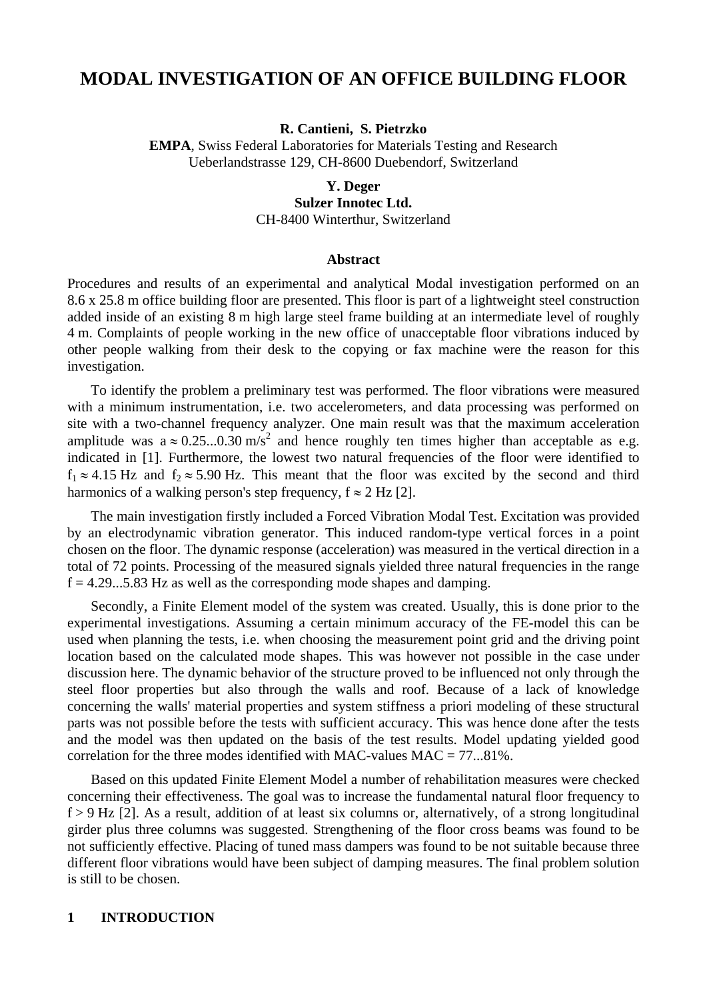# **MODAL INVESTIGATION OF AN OFFICE BUILDING FLOOR**

**R. Cantieni, S. Pietrzko** 

**EMPA**, Swiss Federal Laboratories for Materials Testing and Research Ueberlandstrasse 129, CH-8600 Duebendorf, Switzerland

#### **Y. Deger**

**Sulzer Innotec Ltd.** 

CH-8400 Winterthur, Switzerland

#### **Abstract**

Procedures and results of an experimental and analytical Modal investigation performed on an 8.6 x 25.8 m office building floor are presented. This floor is part of a lightweight steel construction added inside of an existing 8 m high large steel frame building at an intermediate level of roughly 4 m. Complaints of people working in the new office of unacceptable floor vibrations induced by other people walking from their desk to the copying or fax machine were the reason for this investigation.

To identify the problem a preliminary test was performed. The floor vibrations were measured with a minimum instrumentation, i.e. two accelerometers, and data processing was performed on site with a two-channel frequency analyzer. One main result was that the maximum acceleration amplitude was a  $\approx 0.25...0.30 \text{ m/s}^2$  and hence roughly ten times higher than acceptable as e.g. indicated in [1]. Furthermore, the lowest two natural frequencies of the floor were identified to  $f_1 \approx 4.15$  Hz and  $f_2 \approx 5.90$  Hz. This meant that the floor was excited by the second and third harmonics of a walking person's step frequency,  $f \approx 2$  Hz [2].

The main investigation firstly included a Forced Vibration Modal Test. Excitation was provided by an electrodynamic vibration generator. This induced random-type vertical forces in a point chosen on the floor. The dynamic response (acceleration) was measured in the vertical direction in a total of 72 points. Processing of the measured signals yielded three natural frequencies in the range  $f = 4.29...5.83$  Hz as well as the corresponding mode shapes and damping.

Secondly, a Finite Element model of the system was created. Usually, this is done prior to the experimental investigations. Assuming a certain minimum accuracy of the FE-model this can be used when planning the tests, i.e. when choosing the measurement point grid and the driving point location based on the calculated mode shapes. This was however not possible in the case under discussion here. The dynamic behavior of the structure proved to be influenced not only through the steel floor properties but also through the walls and roof. Because of a lack of knowledge concerning the walls' material properties and system stiffness a priori modeling of these structural parts was not possible before the tests with sufficient accuracy. This was hence done after the tests and the model was then updated on the basis of the test results. Model updating yielded good correlation for the three modes identified with MAC-values MAC = 77...81%.

Based on this updated Finite Element Model a number of rehabilitation measures were checked concerning their effectiveness. The goal was to increase the fundamental natural floor frequency to  $f > 9$  Hz [2]. As a result, addition of at least six columns or, alternatively, of a strong longitudinal girder plus three columns was suggested. Strengthening of the floor cross beams was found to be not sufficiently effective. Placing of tuned mass dampers was found to be not suitable because three different floor vibrations would have been subject of damping measures. The final problem solution is still to be chosen.

### **1 INTRODUCTION**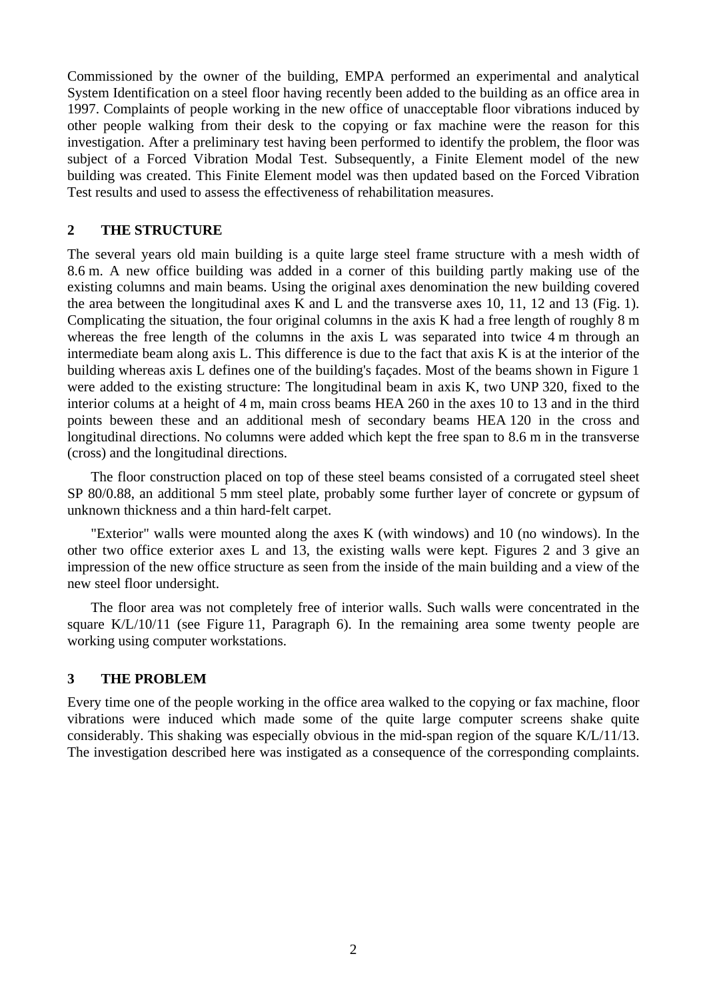Commissioned by the owner of the building, EMPA performed an experimental and analytical System Identification on a steel floor having recently been added to the building as an office area in 1997. Complaints of people working in the new office of unacceptable floor vibrations induced by other people walking from their desk to the copying or fax machine were the reason for this investigation. After a preliminary test having been performed to identify the problem, the floor was subject of a Forced Vibration Modal Test. Subsequently, a Finite Element model of the new building was created. This Finite Element model was then updated based on the Forced Vibration Test results and used to assess the effectiveness of rehabilitation measures.

# **2 THE STRUCTURE**

The several years old main building is a quite large steel frame structure with a mesh width of 8.6 m. A new office building was added in a corner of this building partly making use of the existing columns and main beams. Using the original axes denomination the new building covered the area between the longitudinal axes K and L and the transverse axes 10, 11, 12 and 13 (Fig. 1). Complicating the situation, the four original columns in the axis K had a free length of roughly 8 m whereas the free length of the columns in the axis L was separated into twice 4 m through an intermediate beam along axis L. This difference is due to the fact that axis K is at the interior of the building whereas axis L defines one of the building's façades. Most of the beams shown in Figure 1 were added to the existing structure: The longitudinal beam in axis K, two UNP 320, fixed to the interior colums at a height of 4 m, main cross beams HEA 260 in the axes 10 to 13 and in the third points beween these and an additional mesh of secondary beams HEA 120 in the cross and longitudinal directions. No columns were added which kept the free span to 8.6 m in the transverse (cross) and the longitudinal directions.

The floor construction placed on top of these steel beams consisted of a corrugated steel sheet SP 80/0.88, an additional 5 mm steel plate, probably some further layer of concrete or gypsum of unknown thickness and a thin hard-felt carpet.

"Exterior" walls were mounted along the axes K (with windows) and 10 (no windows). In the other two office exterior axes L and 13, the existing walls were kept. Figures 2 and 3 give an impression of the new office structure as seen from the inside of the main building and a view of the new steel floor undersight.

The floor area was not completely free of interior walls. Such walls were concentrated in the square K/L/10/11 (see Figure 11, Paragraph 6). In the remaining area some twenty people are working using computer workstations.

### **3 THE PROBLEM**

Every time one of the people working in the office area walked to the copying or fax machine, floor vibrations were induced which made some of the quite large computer screens shake quite considerably. This shaking was especially obvious in the mid-span region of the square  $K/L/11/13$ . The investigation described here was instigated as a consequence of the corresponding complaints.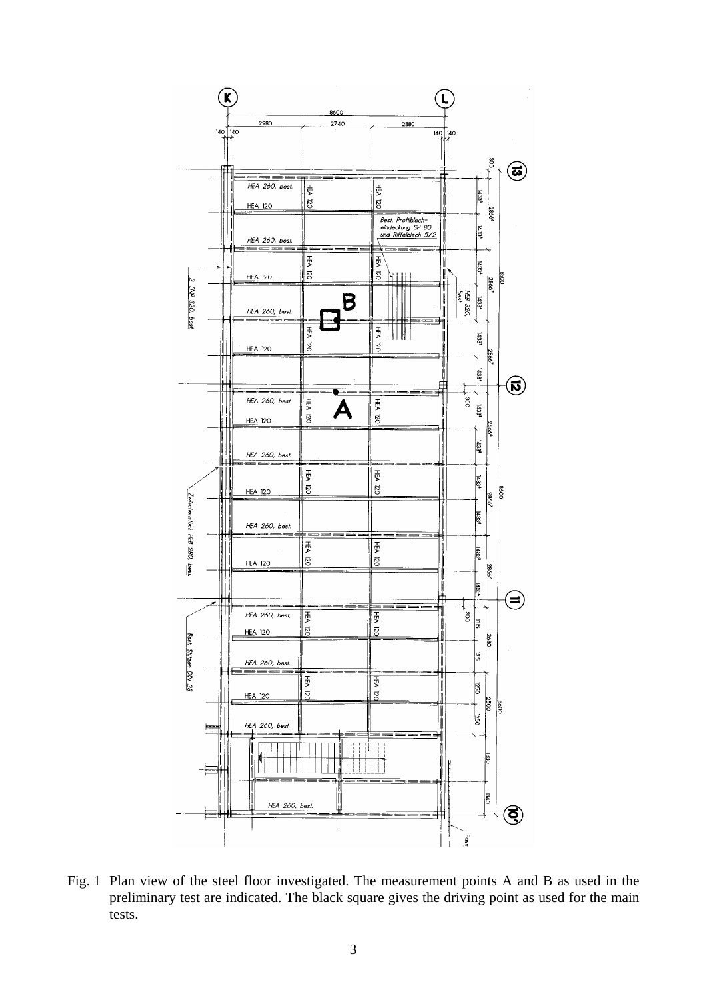

Fig. 1 Plan view of the steel floor investigated. The measurement points A and B as used in the preliminary test are indicated. The black square gives the driving point as used for the main tests.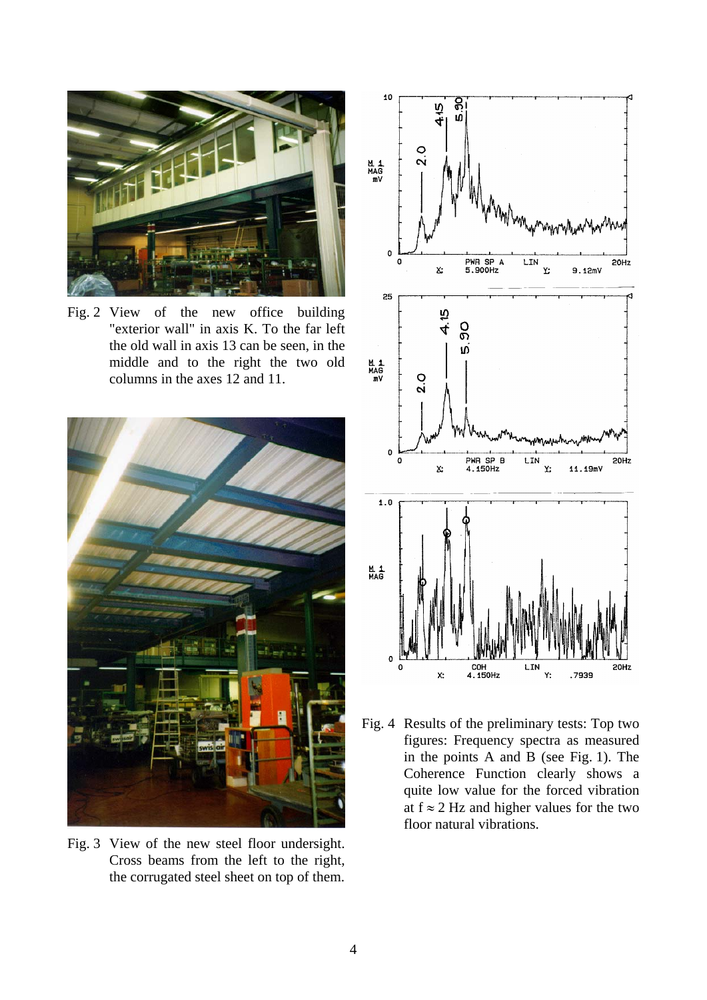

Fig. 2 View of the new office building "exterior wall" in axis K. To the far left the old wall in axis 13 can be seen, in the middle and to the right the two old columns in the axes 12 and 11.



Fig. 3 View of the new steel floor undersight. Cross beams from the left to the right, the corrugated steel sheet on top of them.



Fig. 4 Results of the preliminary tests: Top two figures: Frequency spectra as measured in the points A and B (see Fig. 1). The Coherence Function clearly shows a quite low value for the forced vibration at  $f \approx 2$  Hz and higher values for the two floor natural vibrations.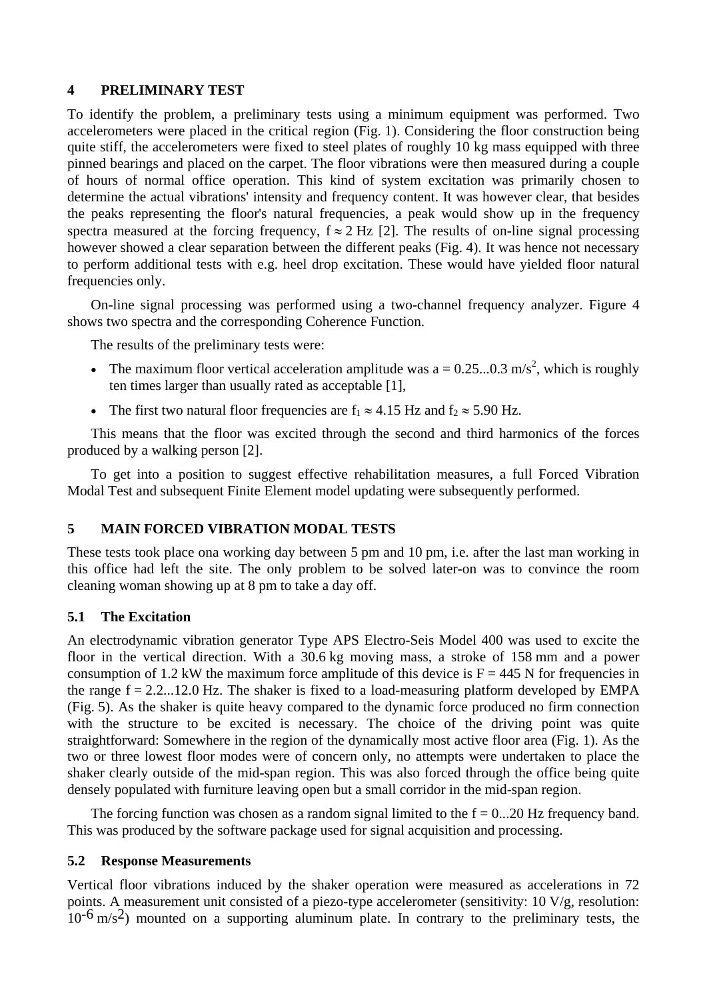#### **4 PRELIMINARY TEST**

To identify the problem, a preliminary tests using a minimum equipment was performed. Two accelerometers were placed in the critical region (Fig. 1). Considering the floor construction being quite stiff, the accelerometers were fixed to steel plates of roughly 10 kg mass equipped with three pinned bearings and placed on the carpet. The floor vibrations were then measured during a couple of hours of normal office operation. This kind of system excitation was primarily chosen to determine the actual vibrations' intensity and frequency content. It was however clear, that besides the peaks representing the floor's natural frequencies, a peak would show up in the frequency spectra measured at the forcing frequency,  $f \approx 2$  Hz [2]. The results of on-line signal processing however showed a clear separation between the different peaks (Fig. 4). It was hence not necessary to perform additional tests with e.g. heel drop excitation. These would have yielded floor natural frequencies only.

On-line signal processing was performed using a two-channel frequency analyzer. Figure 4 shows two spectra and the corresponding Coherence Function.

The results of the preliminary tests were:

- The maximum floor vertical acceleration amplitude was  $a = 0.25...0.3$  m/s<sup>2</sup>, which is roughly ten times larger than usually rated as acceptable [1],
- The first two natural floor frequencies are  $f_1 \approx 4.15$  Hz and  $f_2 \approx 5.90$  Hz.

This means that the floor was excited through the second and third harmonics of the forces produced by a walking person [2].

To get into a position to suggest effective rehabilitation measures, a full Forced Vibration Modal Test and subsequent Finite Element model updating were subsequently performed.

# **5 MAIN FORCED VIBRATION MODAL TESTS**

These tests took place ona working day between 5 pm and 10 pm, i.e. after the last man working in this office had left the site. The only problem to be solved later-on was to convince the room cleaning woman showing up at 8 pm to take a day off.

### **5.1 The Excitation**

An electrodynamic vibration generator Type APS Electro-Seis Model 400 was used to excite the floor in the vertical direction. With a 30.6 kg moving mass, a stroke of 158 mm and a power consumption of 1.2 kW the maximum force amplitude of this device is  $F = 445$  N for frequencies in the range  $f = 2.2...12.0$  Hz. The shaker is fixed to a load-measuring platform developed by EMPA (Fig. 5). As the shaker is quite heavy compared to the dynamic force produced no firm connection with the structure to be excited is necessary. The choice of the driving point was quite straightforward: Somewhere in the region of the dynamically most active floor area (Fig. 1). As the two or three lowest floor modes were of concern only, no attempts were undertaken to place the shaker clearly outside of the mid-span region. This was also forced through the office being quite densely populated with furniture leaving open but a small corridor in the mid-span region.

The forcing function was chosen as a random signal limited to the  $f = 0...20$  Hz frequency band. This was produced by the software package used for signal acquisition and processing.

### **5.2 Response Measurements**

Vertical floor vibrations induced by the shaker operation were measured as accelerations in 72 points. A measurement unit consisted of a piezo-type accelerometer (sensitivity: 10 V/g, resolution:  $10^{-6}$  m/s<sup>2</sup>) mounted on a supporting aluminum plate. In contrary to the preliminary tests, the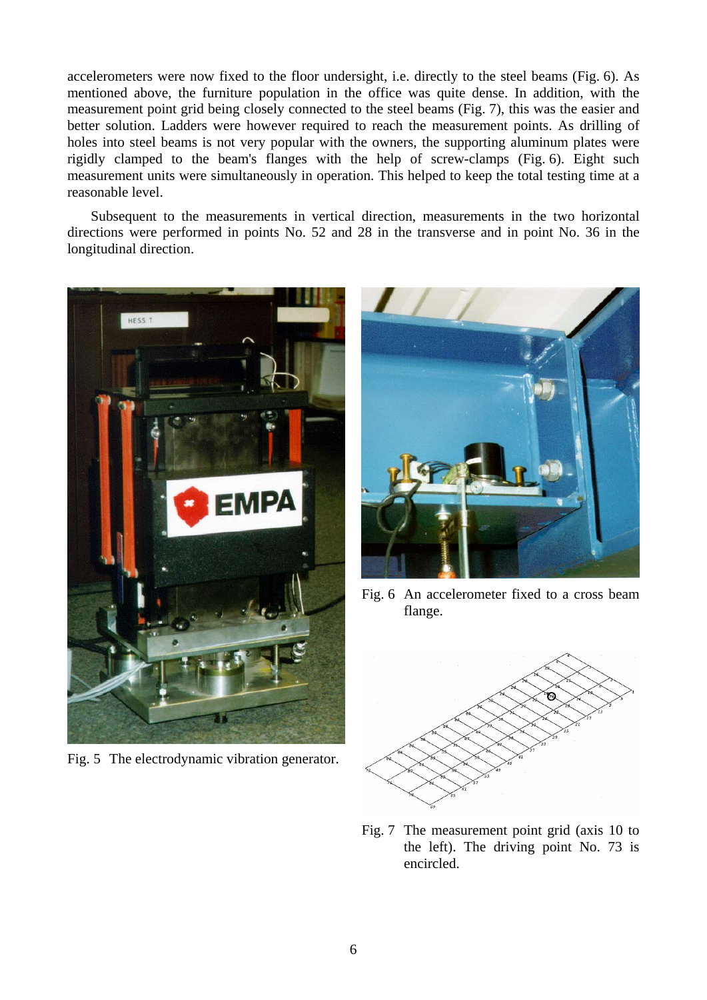accelerometers were now fixed to the floor undersight, i.e. directly to the steel beams (Fig. 6). As mentioned above, the furniture population in the office was quite dense. In addition, with the measurement point grid being closely connected to the steel beams (Fig. 7), this was the easier and better solution. Ladders were however required to reach the measurement points. As drilling of holes into steel beams is not very popular with the owners, the supporting aluminum plates were rigidly clamped to the beam's flanges with the help of screw-clamps (Fig. 6). Eight such measurement units were simultaneously in operation. This helped to keep the total testing time at a reasonable level.

Subsequent to the measurements in vertical direction, measurements in the two horizontal directions were performed in points No. 52 and 28 in the transverse and in point No. 36 in the longitudinal direction.



Fig. 5 The electrodynamic vibration generator.



Fig. 6 An accelerometer fixed to a cross beam flange.



Fig. 7 The measurement point grid (axis 10 to the left). The driving point No. 73 is encircled.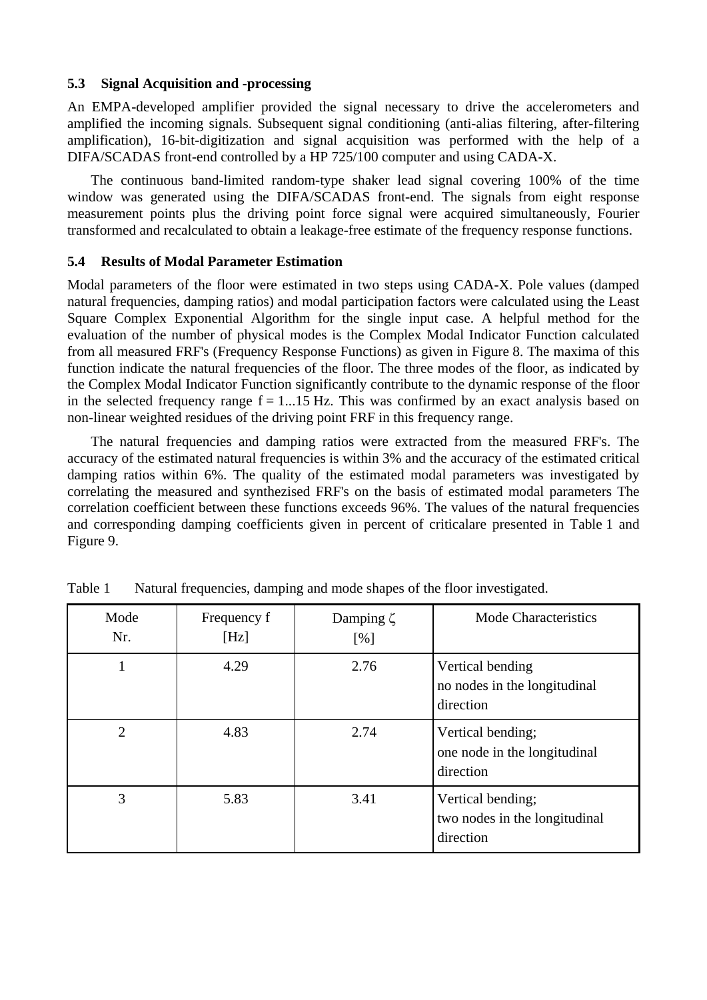# **5.3 Signal Acquisition and -processing**

An EMPA-developed amplifier provided the signal necessary to drive the accelerometers and amplified the incoming signals. Subsequent signal conditioning (anti-alias filtering, after-filtering amplification), 16-bit-digitization and signal acquisition was performed with the help of a DIFA/SCADAS front-end controlled by a HP 725/100 computer and using CADA-X.

The continuous band-limited random-type shaker lead signal covering 100% of the time window was generated using the DIFA/SCADAS front-end. The signals from eight response measurement points plus the driving point force signal were acquired simultaneously, Fourier transformed and recalculated to obtain a leakage-free estimate of the frequency response functions.

# **5.4 Results of Modal Parameter Estimation**

Modal parameters of the floor were estimated in two steps using CADA-X. Pole values (damped natural frequencies, damping ratios) and modal participation factors were calculated using the Least Square Complex Exponential Algorithm for the single input case. A helpful method for the evaluation of the number of physical modes is the Complex Modal Indicator Function calculated from all measured FRF's (Frequency Response Functions) as given in Figure 8. The maxima of this function indicate the natural frequencies of the floor. The three modes of the floor, as indicated by the Complex Modal Indicator Function significantly contribute to the dynamic response of the floor in the selected frequency range  $f = 1...15$  Hz. This was confirmed by an exact analysis based on non-linear weighted residues of the driving point FRF in this frequency range.

The natural frequencies and damping ratios were extracted from the measured FRF's. The accuracy of the estimated natural frequencies is within 3% and the accuracy of the estimated critical damping ratios within 6%. The quality of the estimated modal parameters was investigated by correlating the measured and synthezised FRF's on the basis of estimated modal parameters The correlation coefficient between these functions exceeds 96%. The values of the natural frequencies and corresponding damping coefficients given in percent of criticalare presented in Table 1 and Figure 9.

| Mode<br>Nr.    | Frequency f<br>[Hz] | Damping $\zeta$<br>[%] | Mode Characteristics                                            |
|----------------|---------------------|------------------------|-----------------------------------------------------------------|
|                | 4.29                | 2.76                   | Vertical bending<br>no nodes in the longitudinal<br>direction   |
| $\overline{2}$ | 4.83                | 2.74                   | Vertical bending;<br>one node in the longitudinal<br>direction  |
| 3              | 5.83                | 3.41                   | Vertical bending;<br>two nodes in the longitudinal<br>direction |

Table 1 Natural frequencies, damping and mode shapes of the floor investigated.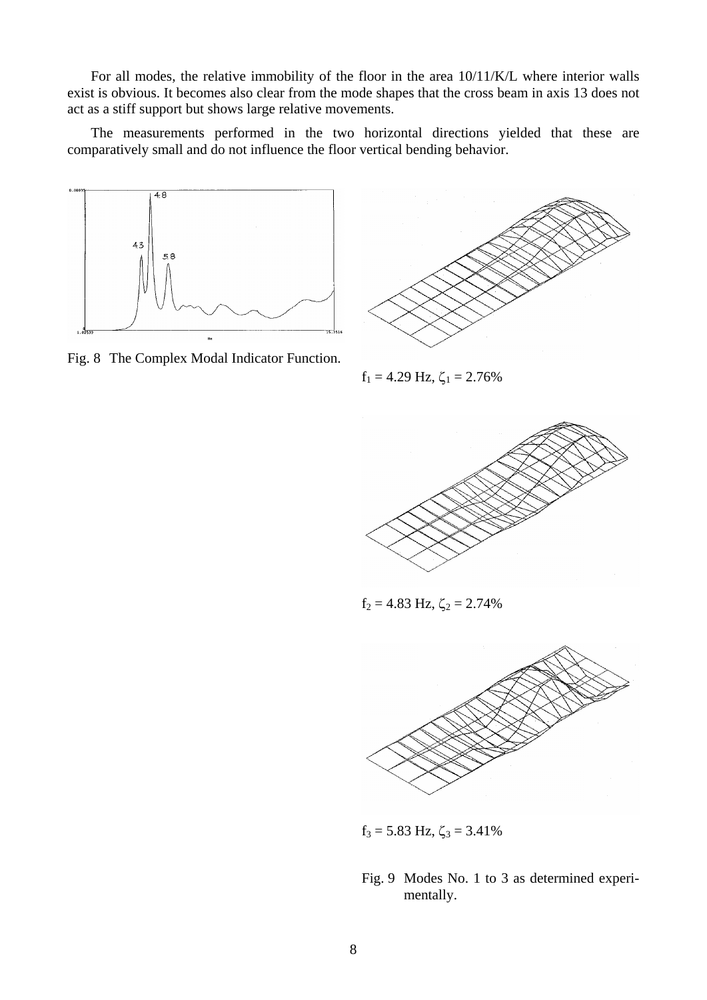For all modes, the relative immobility of the floor in the area 10/11/K/L where interior walls exist is obvious. It becomes also clear from the mode shapes that the cross beam in axis 13 does not act as a stiff support but shows large relative movements.

The measurements performed in the two horizontal directions yielded that these are comparatively small and do not influence the floor vertical bending behavior.



Fig. 8 The Complex Modal Indicator Function.



 $f_1 = 4.29$  Hz,  $\zeta_1 = 2.76\%$ 



 $f_2 = 4.83$  Hz,  $\zeta_2 = 2.74\%$ 



 $f_3 = 5.83$  Hz,  $\zeta_3 = 3.41\%$ 

Fig. 9 Modes No. 1 to 3 as determined experimentally.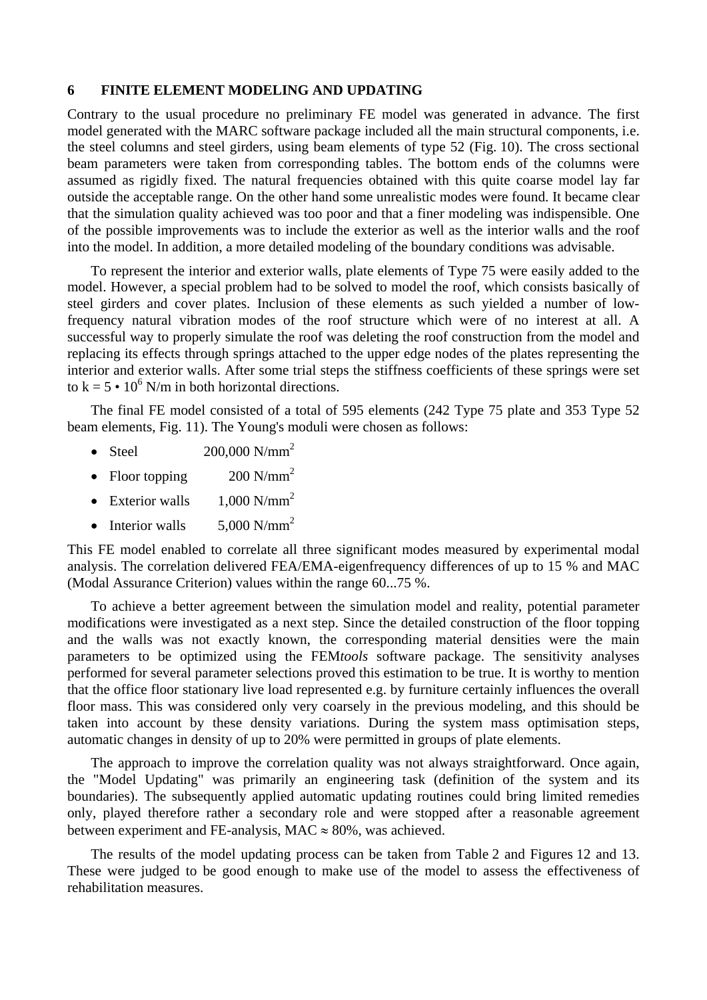#### **6 FINITE ELEMENT MODELING AND UPDATING**

Contrary to the usual procedure no preliminary FE model was generated in advance. The first model generated with the MARC software package included all the main structural components, i.e. the steel columns and steel girders, using beam elements of type 52 (Fig. 10). The cross sectional beam parameters were taken from corresponding tables. The bottom ends of the columns were assumed as rigidly fixed. The natural frequencies obtained with this quite coarse model lay far outside the acceptable range. On the other hand some unrealistic modes were found. It became clear that the simulation quality achieved was too poor and that a finer modeling was indispensible. One of the possible improvements was to include the exterior as well as the interior walls and the roof into the model. In addition, a more detailed modeling of the boundary conditions was advisable.

To represent the interior and exterior walls, plate elements of Type 75 were easily added to the model. However, a special problem had to be solved to model the roof, which consists basically of steel girders and cover plates. Inclusion of these elements as such yielded a number of lowfrequency natural vibration modes of the roof structure which were of no interest at all. A successful way to properly simulate the roof was deleting the roof construction from the model and replacing its effects through springs attached to the upper edge nodes of the plates representing the interior and exterior walls. After some trial steps the stiffness coefficients of these springs were set to  $k = 5 \cdot 10^6$  N/m in both horizontal directions.

The final FE model consisted of a total of 595 elements (242 Type 75 plate and 353 Type 52 beam elements, Fig. 11). The Young's moduli were chosen as follows:

- Steel  $200,000 \text{ N/mm}^2$
- Floor topping  $200 \text{ N/mm}^2$
- Exterior walls  $1,000$  N/mm<sup>2</sup>
- Interior walls  $5.000 \text{ N/mm}^2$

This FE model enabled to correlate all three significant modes measured by experimental modal analysis. The correlation delivered FEA/EMA-eigenfrequency differences of up to 15 % and MAC (Modal Assurance Criterion) values within the range 60...75 %.

To achieve a better agreement between the simulation model and reality, potential parameter modifications were investigated as a next step. Since the detailed construction of the floor topping and the walls was not exactly known, the corresponding material densities were the main parameters to be optimized using the FEM*tools* software package. The sensitivity analyses performed for several parameter selections proved this estimation to be true. It is worthy to mention that the office floor stationary live load represented e.g. by furniture certainly influences the overall floor mass. This was considered only very coarsely in the previous modeling, and this should be taken into account by these density variations. During the system mass optimisation steps, automatic changes in density of up to 20% were permitted in groups of plate elements.

The approach to improve the correlation quality was not always straightforward. Once again, the "Model Updating" was primarily an engineering task (definition of the system and its boundaries). The subsequently applied automatic updating routines could bring limited remedies only, played therefore rather a secondary role and were stopped after a reasonable agreement between experiment and FE-analysis, MAC  $\approx 80\%$ , was achieved.

The results of the model updating process can be taken from Table 2 and Figures 12 and 13. These were judged to be good enough to make use of the model to assess the effectiveness of rehabilitation measures.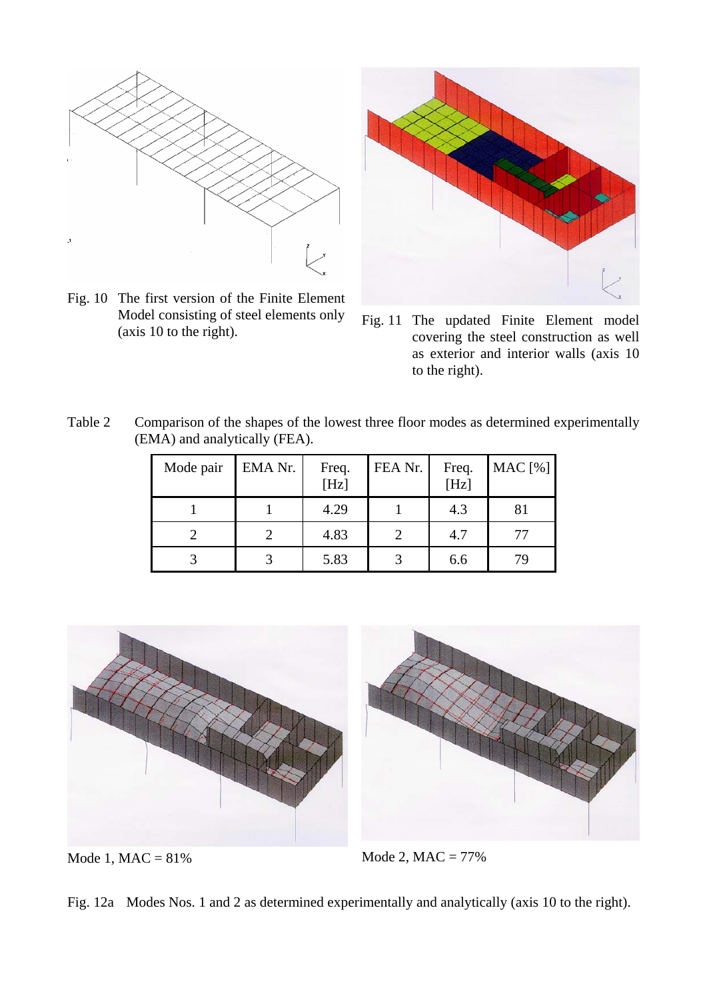

Fig. 10 The first version of the Finite Element Model consisting of steel elements only



Model consisting of steel elements only Fig. 11 The updated Finite Element model (axis 10 to the right). covering the steel construction as well as exterior and interior walls (axis 10 to the right).

Table 2 Comparison of the shapes of the lowest three floor modes as determined experimentally (EMA) and analytically (FEA).

| Mode pair | EMA Nr. | Freq.<br>[Hz] | FEA Nr. | Freq.<br>[Hz] | MAC [%] |
|-----------|---------|---------------|---------|---------------|---------|
|           |         | 4.29          |         | 4.3           | 81      |
|           |         | 4.83          |         | 4.7           | 77      |
|           |         | 5.83          |         | 6.6           | 79      |



Mode 1,  $MAC = 81\%$  Mode 2,  $MAC = 77\%$ 

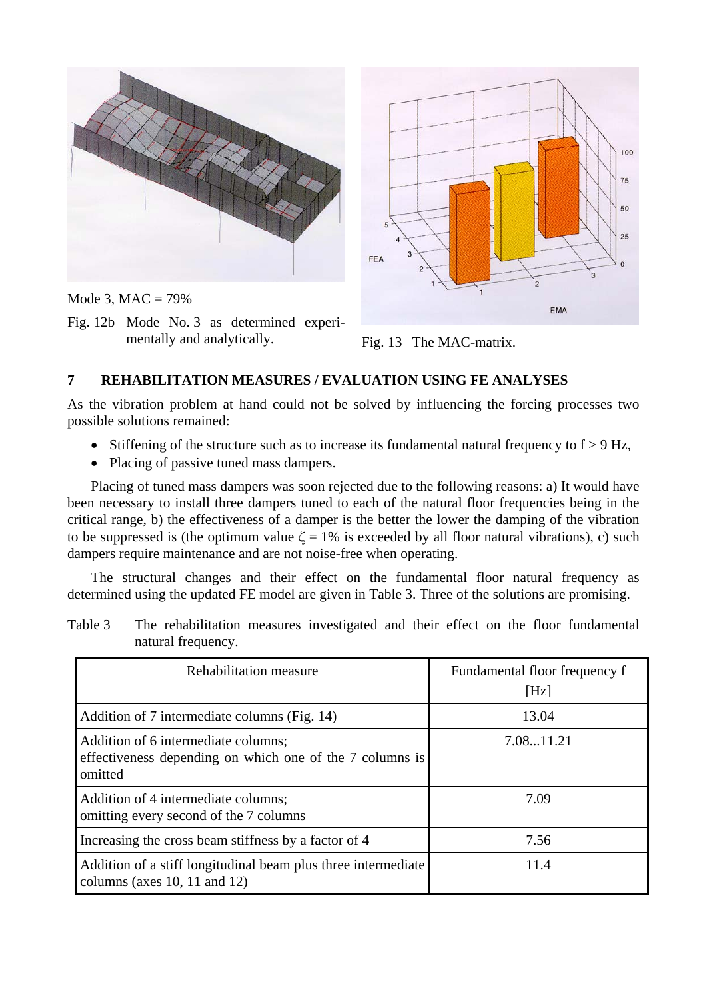

Mode 3,  $MAC = 79%$ 

Fig. 12b Mode No. 3 as determined experimentally and analytically. Fig. 13 The MAC-matrix.



# **7 REHABILITATION MEASURES / EVALUATION USING FE ANALYSES**

As the vibration problem at hand could not be solved by influencing the forcing processes two possible solutions remained:

- Stiffening of the structure such as to increase its fundamental natural frequency to  $f > 9$  Hz,
- Placing of passive tuned mass dampers.

Placing of tuned mass dampers was soon rejected due to the following reasons: a) It would have been necessary to install three dampers tuned to each of the natural floor frequencies being in the critical range, b) the effectiveness of a damper is the better the lower the damping of the vibration to be suppressed is (the optimum value  $\zeta = 1\%$  is exceeded by all floor natural vibrations), c) such dampers require maintenance and are not noise-free when operating.

The structural changes and their effect on the fundamental floor natural frequency as determined using the updated FE model are given in Table 3. Three of the solutions are promising.

Table 3 The rehabilitation measures investigated and their effect on the floor fundamental natural frequency.

| Rehabilitation measure                                                                                     | Fundamental floor frequency f<br>[Hz] |
|------------------------------------------------------------------------------------------------------------|---------------------------------------|
| Addition of 7 intermediate columns (Fig. 14)                                                               | 13.04                                 |
| Addition of 6 intermediate columns;<br>effectiveness depending on which one of the 7 columns is<br>omitted | 7.0811.21                             |
| Addition of 4 intermediate columns;<br>omitting every second of the 7 columns                              | 7.09                                  |
| Increasing the cross beam stiffness by a factor of 4                                                       | 7.56                                  |
| Addition of a stiff longitudinal beam plus three intermediate<br>columns (axes 10, 11 and 12)              | 11.4                                  |